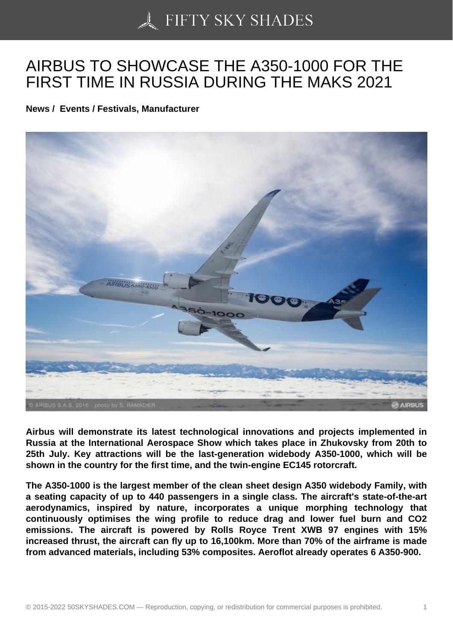## [AIRBUS TO SHOWCA](https://50skyshades.com)SE THE A350-1000 FOR THE FIRST TIME IN RUSSIA DURING THE MAKS 2021

News / Events / Festivals, Manufacturer

Airbus will demonstrate its latest technological innovations and projects implemented in Russia at the International Aerospace Show which takes place in Zhukovsky from 20th to 25th July. Key attractions will be the last-generation widebody A350-1000, which will be shown in the country for the first time, and the twin-engine EC145 rotorcraft.

The A350-1000 is the largest member of the clean sheet design A350 widebody Family, with a seating capacity of up to 440 passengers in a single class. The aircraft's state-of-the-art aerodynamics, inspired by nature, incorporates a unique morphing technology that continuously optimises the wing profile to reduce drag and lower fuel burn and CO2 emissions. The aircraft is powered by Rolls Royce Trent XWB 97 engines with 15% increased thrust, the aircraft can fly up to 16,100km. More than 70% of the airframe is made from advanced materials, including 53% composites. Aeroflot already operates 6 A350-900.